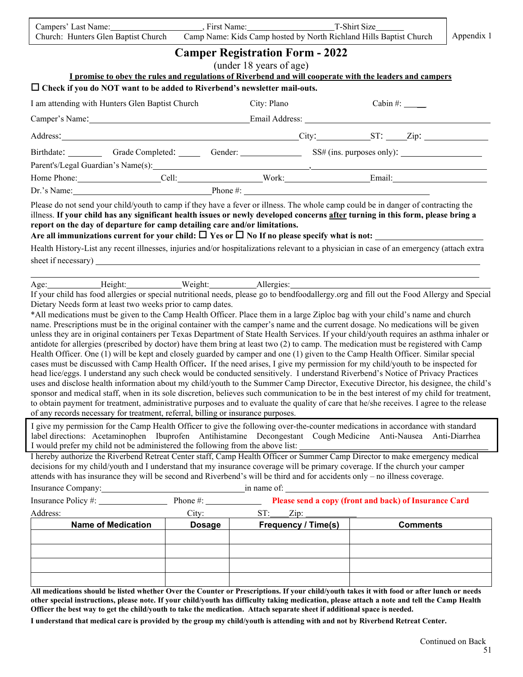| Campers' Last Name:                 | First Name: | T-Shirt Size                                                       |            |
|-------------------------------------|-------------|--------------------------------------------------------------------|------------|
| Church: Hunters Glen Baptist Church |             | Camp Name: Kids Camp hosted by North Richland Hills Baptist Church | Appendix 1 |

|                                                                                                                                                                                                                                                                                                                                                                                                                                                                                                                                                                                                                                                                                                                                                                                                                                                                                                                                                                                                                                                                                                                                                                                                                                                                                                                                                                                                                                                                                                                                                                                                                                                                                                                                                                                                           |               | <b>Camper Registration Form - 2022</b><br>(under 18 years of age)                                 |                            |                       |                 |
|-----------------------------------------------------------------------------------------------------------------------------------------------------------------------------------------------------------------------------------------------------------------------------------------------------------------------------------------------------------------------------------------------------------------------------------------------------------------------------------------------------------------------------------------------------------------------------------------------------------------------------------------------------------------------------------------------------------------------------------------------------------------------------------------------------------------------------------------------------------------------------------------------------------------------------------------------------------------------------------------------------------------------------------------------------------------------------------------------------------------------------------------------------------------------------------------------------------------------------------------------------------------------------------------------------------------------------------------------------------------------------------------------------------------------------------------------------------------------------------------------------------------------------------------------------------------------------------------------------------------------------------------------------------------------------------------------------------------------------------------------------------------------------------------------------------|---------------|---------------------------------------------------------------------------------------------------|----------------------------|-----------------------|-----------------|
| I promise to obey the rules and regulations of Riverbend and will cooperate with the leaders and campers                                                                                                                                                                                                                                                                                                                                                                                                                                                                                                                                                                                                                                                                                                                                                                                                                                                                                                                                                                                                                                                                                                                                                                                                                                                                                                                                                                                                                                                                                                                                                                                                                                                                                                  |               |                                                                                                   |                            |                       |                 |
| $\Box$ Check if you do NOT want to be added to Riverbend's newsletter mail-outs.                                                                                                                                                                                                                                                                                                                                                                                                                                                                                                                                                                                                                                                                                                                                                                                                                                                                                                                                                                                                                                                                                                                                                                                                                                                                                                                                                                                                                                                                                                                                                                                                                                                                                                                          |               |                                                                                                   |                            |                       |                 |
| I am attending with Hunters Glen Baptist Church                                                                                                                                                                                                                                                                                                                                                                                                                                                                                                                                                                                                                                                                                                                                                                                                                                                                                                                                                                                                                                                                                                                                                                                                                                                                                                                                                                                                                                                                                                                                                                                                                                                                                                                                                           |               | City: Plano                                                                                       |                            | Cabin#: $\frac{1}{2}$ |                 |
|                                                                                                                                                                                                                                                                                                                                                                                                                                                                                                                                                                                                                                                                                                                                                                                                                                                                                                                                                                                                                                                                                                                                                                                                                                                                                                                                                                                                                                                                                                                                                                                                                                                                                                                                                                                                           |               |                                                                                                   |                            |                       |                 |
|                                                                                                                                                                                                                                                                                                                                                                                                                                                                                                                                                                                                                                                                                                                                                                                                                                                                                                                                                                                                                                                                                                                                                                                                                                                                                                                                                                                                                                                                                                                                                                                                                                                                                                                                                                                                           |               |                                                                                                   |                            |                       |                 |
| Birthdate: Grade Completed: Gender: Gender: SS# (ins. purposes only):                                                                                                                                                                                                                                                                                                                                                                                                                                                                                                                                                                                                                                                                                                                                                                                                                                                                                                                                                                                                                                                                                                                                                                                                                                                                                                                                                                                                                                                                                                                                                                                                                                                                                                                                     |               |                                                                                                   |                            |                       |                 |
|                                                                                                                                                                                                                                                                                                                                                                                                                                                                                                                                                                                                                                                                                                                                                                                                                                                                                                                                                                                                                                                                                                                                                                                                                                                                                                                                                                                                                                                                                                                                                                                                                                                                                                                                                                                                           |               |                                                                                                   |                            |                       |                 |
|                                                                                                                                                                                                                                                                                                                                                                                                                                                                                                                                                                                                                                                                                                                                                                                                                                                                                                                                                                                                                                                                                                                                                                                                                                                                                                                                                                                                                                                                                                                                                                                                                                                                                                                                                                                                           |               |                                                                                                   |                            |                       |                 |
| Home Phone: Cell: Cell: Work: Email: Email: Cell: North Manuel Phone #: Cell: North American Cell: Cell: Cell: Cell: Cell: Cell: Cell: Cell: Cell: Cell: Cell: Cell: Cell: Cell: Cell: Cell: Cell: Cell: Cell: Cell: Cell: Cel                                                                                                                                                                                                                                                                                                                                                                                                                                                                                                                                                                                                                                                                                                                                                                                                                                                                                                                                                                                                                                                                                                                                                                                                                                                                                                                                                                                                                                                                                                                                                                            |               |                                                                                                   |                            |                       |                 |
| illness. If your child has any significant health issues or newly developed concerns after turning in this form, please bring a<br>report on the day of departure for camp detailing care and/or limitations.<br>Health History-List any recent illnesses, injuries and/or hospitalizations relevant to a physician in case of an emergency (attach extra                                                                                                                                                                                                                                                                                                                                                                                                                                                                                                                                                                                                                                                                                                                                                                                                                                                                                                                                                                                                                                                                                                                                                                                                                                                                                                                                                                                                                                                 |               |                                                                                                   |                            |                       |                 |
| Age: Height: Weight: Neight: Allergies:                                                                                                                                                                                                                                                                                                                                                                                                                                                                                                                                                                                                                                                                                                                                                                                                                                                                                                                                                                                                                                                                                                                                                                                                                                                                                                                                                                                                                                                                                                                                                                                                                                                                                                                                                                   |               |                                                                                                   |                            |                       |                 |
| Dietary Needs form at least two weeks prior to camp dates.<br>*All medications must be given to the Camp Health Officer. Place them in a large Ziploc bag with your child's name and church<br>name. Prescriptions must be in the original container with the camper's name and the current dosage. No medications will be given<br>unless they are in original containers per Texas Department of State Health Services. If your child/youth requires an asthma inhaler or<br>antidote for allergies (prescribed by doctor) have them bring at least two (2) to camp. The medication must be registered with Camp<br>Health Officer. One (1) will be kept and closely guarded by camper and one (1) given to the Camp Health Officer. Similar special<br>cases must be discussed with Camp Health Officer. If the need arises, I give my permission for my child/youth to be inspected for<br>head lice/eggs. I understand any such check would be conducted sensitively. I understand Riverbend's Notice of Privacy Practices<br>uses and disclose health information about my child/youth to the Summer Camp Director, Executive Director, his designee, the child's<br>sponsor and medical staff, when in its sole discretion, believes such communication to be in the best interest of my child for treatment,<br>to obtain payment for treatment, administrative purposes and to evaluate the quality of care that he/she receives. I agree to the release<br>of any records necessary for treatment, referral, billing or insurance purposes.<br>I give my permission for the Camp Health Officer to give the following over-the-counter medications in accordance with standard<br>label directions: Acetaminophen Ibuprofen Antihistamine Decongestant Cough Medicine Anti-Nausea Anti-Diarrhea |               |                                                                                                   |                            |                       |                 |
| I would prefer my child not be administered the following from the above list:<br>I hereby authorize the Riverbend Retreat Center staff, Camp Health Officer or Summer Camp Director to make emergency medical<br>decisions for my child/youth and I understand that my insurance coverage will be primary coverage. If the church your camper<br>attends with has insurance they will be second and Riverbend's will be third and for accidents only – no illness coverage.                                                                                                                                                                                                                                                                                                                                                                                                                                                                                                                                                                                                                                                                                                                                                                                                                                                                                                                                                                                                                                                                                                                                                                                                                                                                                                                              |               |                                                                                                   |                            |                       |                 |
| Insurance Company: 1997                                                                                                                                                                                                                                                                                                                                                                                                                                                                                                                                                                                                                                                                                                                                                                                                                                                                                                                                                                                                                                                                                                                                                                                                                                                                                                                                                                                                                                                                                                                                                                                                                                                                                                                                                                                   |               | $\overline{\text{in}}$ name of:<br>Phone #: Please send a copy (front and back) of Insurance Card |                            |                       |                 |
| Address:                                                                                                                                                                                                                                                                                                                                                                                                                                                                                                                                                                                                                                                                                                                                                                                                                                                                                                                                                                                                                                                                                                                                                                                                                                                                                                                                                                                                                                                                                                                                                                                                                                                                                                                                                                                                  | City:         | ST:                                                                                               | $\mathbf{Zip:}$            |                       |                 |
| <b>Name of Medication</b>                                                                                                                                                                                                                                                                                                                                                                                                                                                                                                                                                                                                                                                                                                                                                                                                                                                                                                                                                                                                                                                                                                                                                                                                                                                                                                                                                                                                                                                                                                                                                                                                                                                                                                                                                                                 | <b>Dosage</b> |                                                                                                   | <b>Frequency / Time(s)</b> |                       | <b>Comments</b> |
|                                                                                                                                                                                                                                                                                                                                                                                                                                                                                                                                                                                                                                                                                                                                                                                                                                                                                                                                                                                                                                                                                                                                                                                                                                                                                                                                                                                                                                                                                                                                                                                                                                                                                                                                                                                                           |               |                                                                                                   |                            |                       |                 |
| All medications should be listed whether Over the Counter or Prescriptions. If your child/youth takes it with food or after lunch or needs<br>other special instructions, please note. If your child/youth has difficulty taking medication, please attach a note and tell the Camp Health<br>Officer the best way to get the child/youth to take the medication. Attach separate sheet if additional space is needed.<br>I understand that medical care is provided by the group my child/youth is attending with and not by Riverbend Retreat Center.                                                                                                                                                                                                                                                                                                                                                                                                                                                                                                                                                                                                                                                                                                                                                                                                                                                                                                                                                                                                                                                                                                                                                                                                                                                   |               |                                                                                                   |                            |                       |                 |